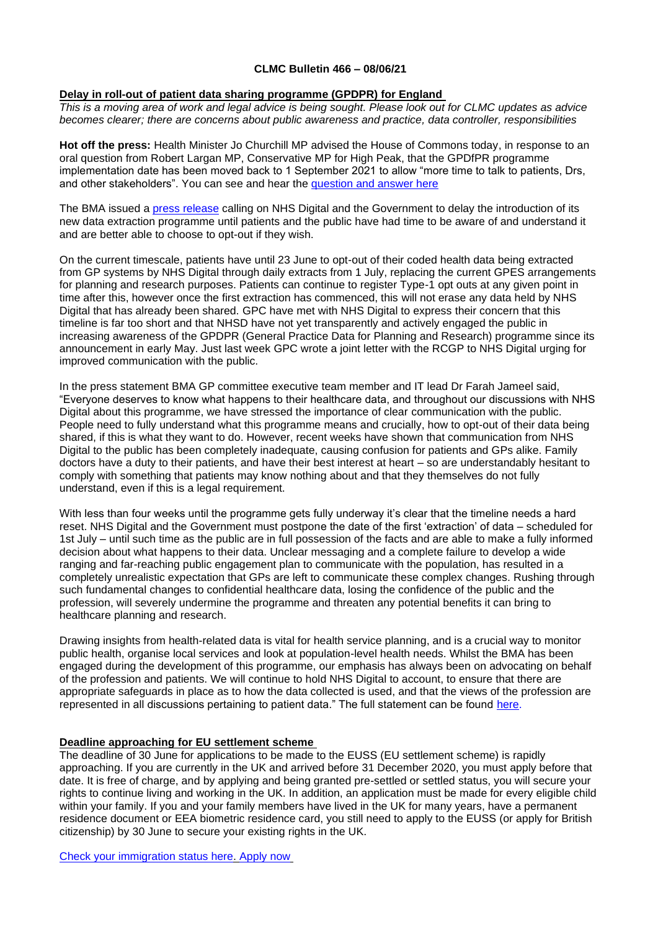### **CLMC Bulletin 466 – 08/06/21**

## **Delay in roll-out of patient data sharing programme (GPDPR) for England**

*This is a moving area of work and legal advice is being sought. Please look out for CLMC updates as advice becomes clearer; there are concerns about public awareness and practice, data controller, responsibilities*

**Hot off the press:** Health Minister Jo Churchill MP advised the House of Commons today, in response to an oral question from Robert Largan MP, Conservative MP for High Peak, that the GPDfPR programme implementation date has been moved back to 1 September 2021 to allow "more time to talk to patients, Drs, and other stakeholders". You can see and hear the [question and answer here](https://parliamentlive.tv/event/index/0aba1ed3-335d-4746-a65c-886b8adac067?in=12:00:47&out=12:02:51)

The BMA issued a [press release](https://www.bma.org.uk/bma-media-centre/bma-calls-for-delay-in-roll-out-of-patient-data-sharing-programme) calling on NHS Digital and the Government to delay the introduction of its new data extraction programme until patients and the public have had time to be aware of and understand it and are better able to choose to opt-out if they wish.

On the current timescale, patients have until 23 June to opt-out of their coded health data being extracted from GP systems by NHS Digital through daily extracts from 1 July, replacing the current GPES arrangements for planning and research purposes. Patients can continue to register Type-1 opt outs at any given point in time after this, however once the first extraction has commenced, this will not erase any data held by NHS Digital that has already been shared. GPC have met with NHS Digital to express their concern that this timeline is far too short and that NHSD have not yet transparently and actively engaged the public in increasing awareness of the GPDPR (General Practice Data for Planning and Research) programme since its announcement in early May. Just last week GPC wrote a joint letter with the RCGP to NHS Digital urging for improved communication with the public.

In the press statement BMA GP committee executive team member and IT lead Dr Farah Jameel said, "Everyone deserves to know what happens to their healthcare data, and throughout our discussions with NHS Digital about this programme, we have stressed the importance of clear communication with the public. People need to fully understand what this programme means and crucially, how to opt-out of their data being shared, if this is what they want to do. However, recent weeks have shown that communication from NHS Digital to the public has been completely inadequate, causing confusion for patients and GPs alike. Family doctors have a duty to their patients, and have their best interest at heart – so are understandably hesitant to comply with something that patients may know nothing about and that they themselves do not fully understand, even if this is a legal requirement.

With less than four weeks until the programme gets fully underway it's clear that the timeline needs a hard reset. NHS Digital and the Government must postpone the date of the first 'extraction' of data – scheduled for 1st July – until such time as the public are in full possession of the facts and are able to make a fully informed decision about what happens to their data. Unclear messaging and a complete failure to develop a wide ranging and far-reaching public engagement plan to communicate with the population, has resulted in a completely unrealistic expectation that GPs are left to communicate these complex changes. Rushing through such fundamental changes to confidential healthcare data, losing the confidence of the public and the profession, will severely undermine the programme and threaten any potential benefits it can bring to healthcare planning and research.

Drawing insights from health-related data is vital for health service planning, and is a crucial way to monitor public health, organise local services and look at population-level health needs. Whilst the BMA has been engaged during the development of this programme, our emphasis has always been on advocating on behalf of the profession and patients. We will continue to hold NHS Digital to account, to ensure that there are appropriate safeguards in place as to how the data collected is used, and that the views of the profession are represented in all discussions pertaining to patient data." The full statement can be found [here.](https://www.bma.org.uk/bma-media-centre/bma-calls-for-delay-in-roll-out-of-patient-data-sharing-programme) 

## **Deadline approaching for EU settlement scheme**

The deadline of 30 June for applications to be made to the EUSS (EU settlement scheme) is rapidly approaching. If you are currently in the UK and arrived before 31 December 2020, you must apply before that date. It is free of charge, and by applying and being granted pre-settled or settled status, you will secure your rights to continue living and working in the UK. In addition, an application must be made for every eligible child within your family. If you and your family members have lived in the UK for many years, have a permanent residence document or EEA biometric residence card, you still need to apply to the EUSS (or apply for British citizenship) by 30 June to secure your existing rights in the UK.

[Check your immigration status here.](https://www.gov.uk/view-prove-immigration-status?utm_source=The%20British%20Medical%20Association&utm_medium=email&utm_campaign=12427736_GP%20ENEWSLETTER%2003062021&utm_content=apply%20EU%20settlement%20scheme&dm_t=0,0,0,0,0) [Apply now](https://www.gov.uk/settled-status-eu-citizens-families/applying-for-settled-status?utm_source=The%20British%20Medical%20Association&utm_medium=email&utm_campaign=12427736_GP%20ENEWSLETTER%2003062021&utm_content=Apply%20to%20the%20EU%20Settlement%20Scheme&dm_t=0,0,0,0,0)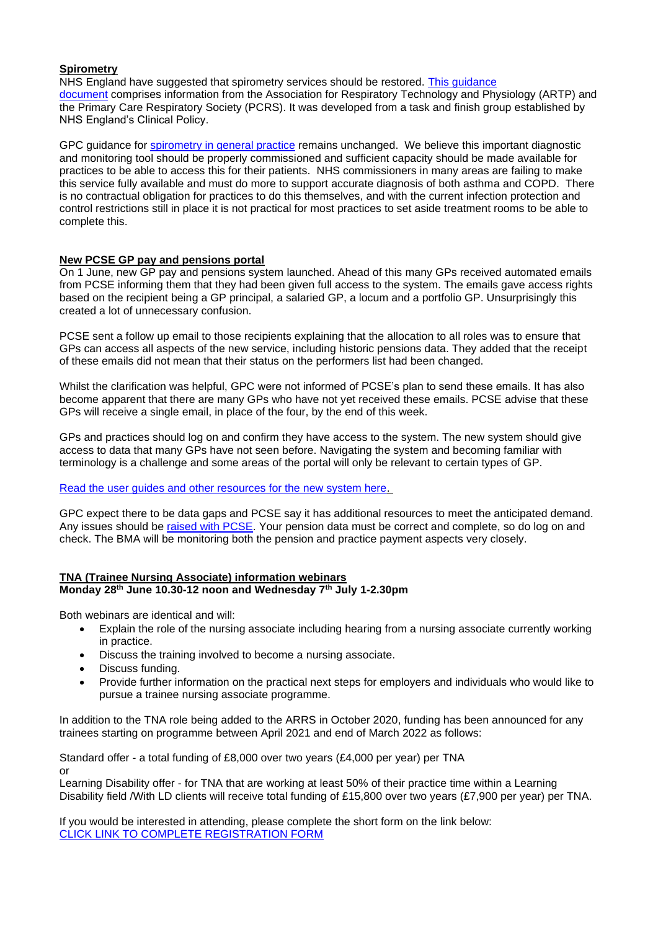# **Spirometry**

NHS England have suggested that spirometry services should be restored. [This guidance](https://generalpracticebulletin.cmail19.com/t/d-l-qdkiduy-juxdhitut-m/)  [document](https://generalpracticebulletin.cmail19.com/t/d-l-qdkiduy-juxdhitut-m/) comprises information from the Association for Respiratory Technology and Physiology (ARTP) and the Primary Care Respiratory Society (PCRS). It was developed from a task and finish group established by NHS England's Clinical Policy.

GPC guidance for [spirometry in general practice](https://www.bma.org.uk/advice-and-support/gp-practices/gp-service-provision/spirometry-in-general-practice) remains unchanged. We believe this important diagnostic and monitoring tool should be properly commissioned and sufficient capacity should be made available for practices to be able to access this for their patients. NHS commissioners in many areas are failing to make this service fully available and must do more to support accurate diagnosis of both asthma and COPD. There is no contractual obligation for practices to do this themselves, and with the current infection protection and control restrictions still in place it is not practical for most practices to set aside treatment rooms to be able to complete this.

## **New PCSE GP pay and pensions portal**

On 1 June, new GP pay and pensions system launched. Ahead of this many GPs received automated emails from PCSE informing them that they had been given full access to the system. The emails gave access rights based on the recipient being a GP principal, a salaried GP, a locum and a portfolio GP. Unsurprisingly this created a lot of unnecessary confusion.

PCSE sent a follow up email to those recipients explaining that the allocation to all roles was to ensure that GPs can access all aspects of the new service, including historic pensions data. They added that the receipt of these emails did not mean that their status on the performers list had been changed.

Whilst the clarification was helpful, GPC were not informed of PCSE's plan to send these emails. It has also become apparent that there are many GPs who have not yet received these emails. PCSE advise that these GPs will receive a single email, in place of the four, by the end of this week.

GPs and practices should log on and confirm they have access to the system. The new system should give access to data that many GPs have not seen before. Navigating the system and becoming familiar with terminology is a challenge and some areas of the portal will only be relevant to certain types of GP.

#### [Read the user guides and other resources for the new system here.](https://pcse.england.nhs.uk/services/gp-pensions/support/?utm_source=The%20British%20Medical%20Association&utm_medium=email&utm_campaign=12427736_GP%20ENEWSLETTER%2003062021&utm_content=User%20guides%20and%20resources&dm_t=0,0,0,0,0)

GPC expect there to be data gaps and PCSE say it has additional resources to meet the anticipated demand. Any issues should be [raised with PCSE.](https://bma-mail.org.uk/t/JVX-7EDAW-JCJOU4-4GLUTO-1/c.aspx) Your pension data must be correct and complete, so do log on and check. The BMA will be monitoring both the pension and practice payment aspects very closely.

#### **TNA (Trainee Nursing Associate) information webinars Monday 28th June 10.30-12 noon and Wednesday 7th July 1-2.30pm**

Both webinars are identical and will:

- Explain the role of the nursing associate including hearing from a nursing associate currently working in practice.
- Discuss the training involved to become a nursing associate.
- Discuss funding.
- Provide further information on the practical next steps for employers and individuals who would like to pursue a trainee nursing associate programme.

In addition to the TNA role being added to the ARRS in October 2020, funding has been announced for any trainees starting on programme between April 2021 and end of March 2022 as follows:

Standard offer - a total funding of £8,000 over two years (£4,000 per year) per TNA or

Learning Disability offer - for TNA that are working at least 50% of their practice time within a Learning Disability field /With LD clients will receive total funding of £15,800 over two years (£7,900 per year) per TNA.

If you would be interested in attending, please complete the short form on the link below: [CLICK LINK TO COMPLETE REGISTRATION FORM](https://forms.office.com/Pages/ResponsePage.aspx?id=K5Gn_5ewMUGcD9DoB1Wyqx4cIlPK1LFHoEMQq51WtKhUNFZJT0hYS1lMMjc3TVVKUkdKWVRVVUpBSy4u)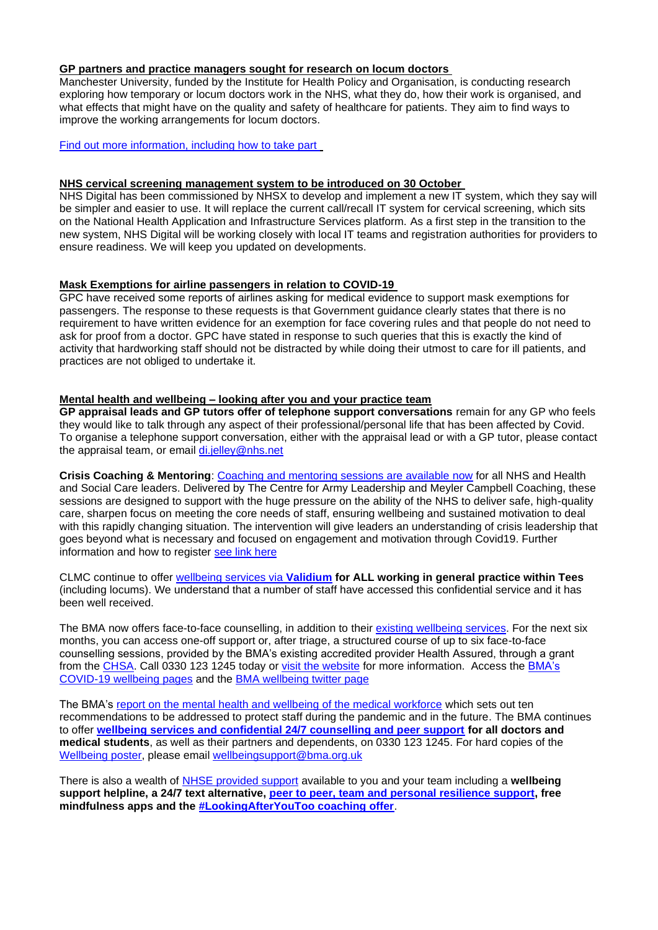# **GP partners and practice managers sought for research on locum doctors**

Manchester University, funded by the Institute for Health Policy and Organisation, is conducting research exploring how temporary or locum doctors work in the NHS, what they do, how their work is organised, and what effects that might have on the quality and safety of healthcare for patients. They aim to find ways to improve the working arrangements for locum doctors.

[Find out more information, including how to take part](https://bma-mail.org.uk/t/JVX-7EDAW-JCJOU4-4GLUTR-1/c.aspx)

#### **NHS cervical screening management system to be introduced on 30 October**

NHS Digital has been commissioned by NHSX to develop and implement a new IT system, which they say will be simpler and easier to use. It will replace the current call/recall IT system for cervical screening, which sits on the National Health Application and Infrastructure Services platform. As a first step in the transition to the new system, NHS Digital will be working closely with local IT teams and registration authorities for providers to ensure readiness. We will keep you updated on developments.

#### **Mask Exemptions for airline passengers in relation to COVID-19**

GPC have received some reports of airlines asking for medical evidence to support mask exemptions for passengers. The response to these requests is that Government guidance clearly states that there is no requirement to have written evidence for an exemption for face covering rules and that people do not need to ask for proof from a doctor. GPC have stated in response to such queries that this is exactly the kind of activity that hardworking staff should not be distracted by while doing their utmost to care for ill patients, and practices are not obliged to undertake it.

#### **Mental health and wellbeing – looking after you and your practice team**

**GP appraisal leads and GP tutors offer of telephone support conversations** remain for any GP who feels they would like to talk through any aspect of their professional/personal life that has been affected by Covid. To organise a telephone support conversation, either with the appraisal lead or with a GP tutor, please contact the appraisal team, or email [di.jelley@nhs.net](mailto:di.jelley@nhs.net)

**Crisis Coaching & Mentoring**: [Coaching and mentoring sessions are available now](https://people.nhs.uk/support-for-leaders/coaching-and-mentoring-for-leaders/) for all NHS and Health and Social Care leaders. Delivered by The Centre for Army Leadership and Meyler Campbell Coaching, these sessions are designed to support with the huge pressure on the ability of the NHS to deliver safe, high-quality care, sharpen focus on meeting the core needs of staff, ensuring wellbeing and sustained motivation to deal with this rapidly changing situation. The intervention will give leaders an understanding of crisis leadership that goes beyond what is necessary and focused on engagement and motivation through Covid19. Further information and how to register [see link here](https://people.nhs.uk/support-for-leaders/coaching-and-mentoring-for-leaders/)

CLMC continue to offer [wellbeing services via](https://www.clevelandlmc.org.uk/page1.aspx?p=20&t=2) **Validium for ALL working in general practice within Tees** (including locums). We understand that a number of staff have accessed this confidential service and it has been well received.

The BMA now offers face-to-face counselling, in addition to their [existing wellbeing services.](https://bma-mail.org.uk/t/JVX-7CV5G-JCJOU4-4FIBPR-1/c.aspx) For the next six months, you can access one-off support or, after triage, a structured course of up to six face-to-face counselling sessions, provided by the BMA's existing accredited provider Health Assured, through a grant from the [CHSA.](https://bma-mail.org.uk/t/JVX-7CV5G-JCJOU4-4FIBPS-1/c.aspx) Call 0330 123 1245 today or [visit the website](https://bma-mail.org.uk/t/JVX-7CV5G-JCJOU4-4FIBPT-1/c.aspx) for more information. Access the [BMA's](https://www.bma.org.uk/advice-and-support/covid-19/your-health/covid-19-your-wellbeing)  [COVID-19 wellbeing pages](https://www.bma.org.uk/advice-and-support/covid-19/your-health/covid-19-your-wellbeing) and the [BMA wellbeing twitter page](https://twitter.com/bmawellbeing?lang=en)

The BMA's [report on the mental health and wellbeing of the medical workforce](https://www.bma.org.uk/advice-and-support/nhs-delivery-and-workforce/mental-health-of-doctors-and-medical-students/improving-the-mental-wellbeing-of-doctors-and-medical-students) which sets out ten recommendations to be addressed to protect staff during the pandemic and in the future. The BMA continues to offer **[wellbeing services and confidential 24/7 counselling and peer support](https://www.bma.org.uk/advice-and-support/your-wellbeing#wellbeing-support-services) for all doctors and medical students**, as well as their partners and dependents, on 0330 123 1245. For hard copies of the [Wellbeing poster,](https://www.bma.org.uk/media/2217/bma-wellbeing-covid-19-poster.pdf) please email [wellbeingsupport@bma.org.uk](mailto:wellbeingsupport@bma.org.uk)

There is also a wealth of [NHSE provided support](https://www.england.nhs.uk/supporting-our-nhs-people/wellbeing-support-options/support-offers/) available to you and your team including a **wellbeing support helpline, a 24/7 text alternative, [peer to peer, team and personal resilience support,](https://people.nhs.uk/all-bitesize/) free mindfulness apps and the [#LookingAfterYouToo coaching offer](https://www.england.nhs.uk/supporting-our-nhs-people/wellbeing-support-options/looking-after-you-too/)**.